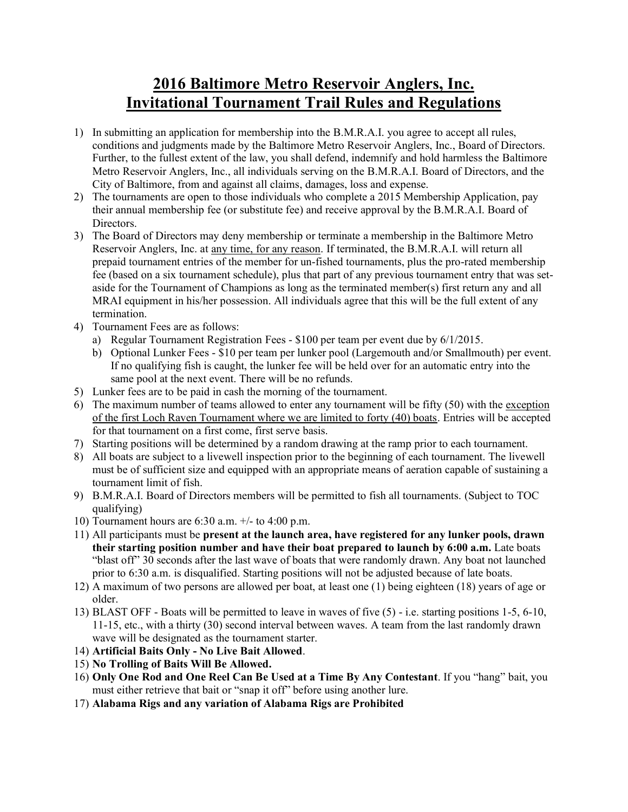## **2016 Baltimore Metro Reservoir Anglers, Inc. Invitational Tournament Trail Rules and Regulations**

- 1) In submitting an application for membership into the B.M.R.A.I. you agree to accept all rules, conditions and judgments made by the Baltimore Metro Reservoir Anglers, Inc., Board of Directors. Further, to the fullest extent of the law, you shall defend, indemnify and hold harmless the Baltimore Metro Reservoir Anglers, Inc., all individuals serving on the B.M.R.A.I. Board of Directors, and the City of Baltimore, from and against all claims, damages, loss and expense.
- 2) The tournaments are open to those individuals who complete a 2015 Membership Application, pay their annual membership fee (or substitute fee) and receive approval by the B.M.R.A.I. Board of Directors.
- 3) The Board of Directors may deny membership or terminate a membership in the Baltimore Metro Reservoir Anglers, Inc. at any time, for any reason. If terminated, the B.M.R.A.I. will return all prepaid tournament entries of the member for un-fished tournaments, plus the pro-rated membership fee (based on a six tournament schedule), plus that part of any previous tournament entry that was setaside for the Tournament of Champions as long as the terminated member(s) first return any and all MRAI equipment in his/her possession. All individuals agree that this will be the full extent of any termination.
- 4) Tournament Fees are as follows:
	- a) Regular Tournament Registration Fees \$100 per team per event due by 6/1/2015.
	- b) Optional Lunker Fees \$10 per team per lunker pool (Largemouth and/or Smallmouth) per event. If no qualifying fish is caught, the lunker fee will be held over for an automatic entry into the same pool at the next event. There will be no refunds.
- 5) Lunker fees are to be paid in cash the morning of the tournament.
- 6) The maximum number of teams allowed to enter any tournament will be fifty (50) with the exception of the first Loch Raven Tournament where we are limited to forty (40) boats. Entries will be accepted for that tournament on a first come, first serve basis.
- 7) Starting positions will be determined by a random drawing at the ramp prior to each tournament.
- 8) All boats are subject to a livewell inspection prior to the beginning of each tournament. The livewell must be of sufficient size and equipped with an appropriate means of aeration capable of sustaining a tournament limit of fish.
- 9) B.M.R.A.I. Board of Directors members will be permitted to fish all tournaments. (Subject to TOC qualifying)
- 10) Tournament hours are 6:30 a.m. +/- to 4:00 p.m.
- 11) All participants must be **present at the launch area, have registered for any lunker pools, drawn their starting position number and have their boat prepared to launch by 6:00 a.m.** Late boats "blast off" 30 seconds after the last wave of boats that were randomly drawn. Any boat not launched prior to 6:30 a.m. is disqualified. Starting positions will not be adjusted because of late boats.
- 12) A maximum of two persons are allowed per boat, at least one (1) being eighteen (18) years of age or older.
- 13) BLAST OFF Boats will be permitted to leave in waves of five (5) i.e. starting positions 1-5, 6-10, 11-15, etc., with a thirty (30) second interval between waves. A team from the last randomly drawn wave will be designated as the tournament starter.
- 14) **Artificial Baits Only - No Live Bait Allowed**.
- 15) **No Trolling of Baits Will Be Allowed.**
- 16) **Only One Rod and One Reel Can Be Used at a Time By Any Contestant**. If you "hang" bait, you must either retrieve that bait or "snap it off" before using another lure.
- 17) **Alabama Rigs and any variation of Alabama Rigs are Prohibited**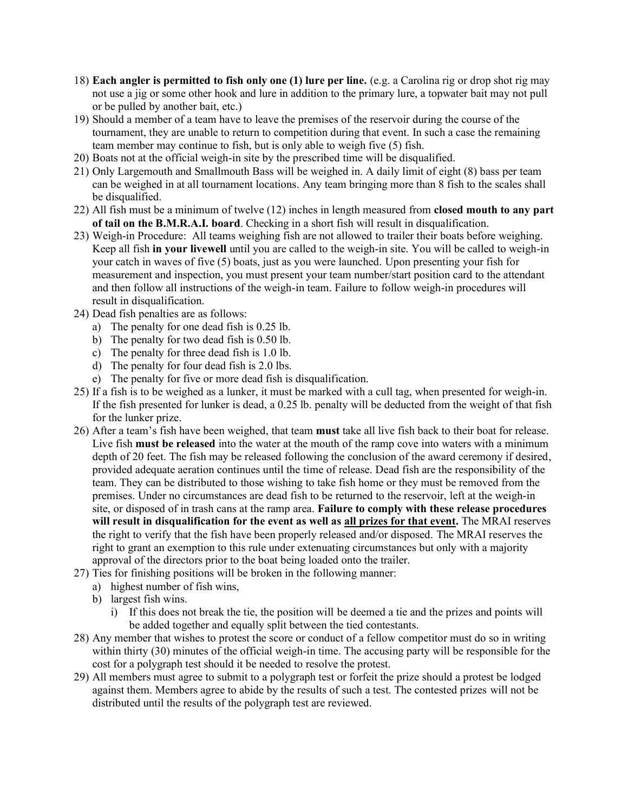- 18) **Each angler is permitted to fish only one (1) lure per line.** (e.g. a Carolina rig or drop shot rig may not use a jig or some other hook and lure in addition to the primary lure, a topwater bait may not pull or be pulled by another bait, etc.)
- 19) Should a member of a team have to leave the premises of the reservoir during the course of the tournament, they are unable to return to competition during that event. In such a case the remaining team member may continue to fish, but is only able to weigh five (5) fish.
- 20) Boats not at the official weigh-in site by the prescribed time will be disqualified.
- 21) Only Largemouth and Smallmouth Bass will be weighed in. A daily limit of eight (8) bass per team can be weighed in at all tournament locations. Any team bringing more than 8 fish to the scales shall be disqualified.
- 22) All fish must be a minimum of twelve (12) inches in length measured from **closed mouth to any part of tail on the B.M.R.A.I. board**. Checking in a short fish will result in disqualification.
- 23) Weigh-in Procedure: All teams weighing fish are not allowed to trailer their boats before weighing. Keep all fish **in your livewell** until you are called to the weigh-in site. You will be called to weigh-in your catch in waves of five (5) boats, just as you were launched. Upon presenting your fish for measurement and inspection, you must present your team number/start position card to the attendant and then follow all instructions of the weigh-in team. Failure to follow weigh-in procedures will result in disqualification.
- 24) Dead fish penalties are as follows:
	- a) The penalty for one dead fish is 0.25 lb.
	- b) The penalty for two dead fish is 0.50 lb.
	- c) The penalty for three dead fish is 1.0 lb.
	- d) The penalty for four dead fish is 2.0 lbs.
	- e) The penalty for five or more dead fish is disqualification.
- 25) If a fish is to be weighed as a lunker, it must be marked with a cull tag, when presented for weigh-in. If the fish presented for lunker is dead, a 0.25 lb. penalty will be deducted from the weight of that fish for the lunker prize.
- 26) After a team's fish have been weighed, that team **must** take all live fish back to their boat for release. Live fish **must be released** into the water at the mouth of the ramp cove into waters with a minimum depth of 20 feet. The fish may be released following the conclusion of the award ceremony if desired, provided adequate aeration continues until the time of release. Dead fish are the responsibility of the team. They can be distributed to those wishing to take fish home or they must be removed from the premises. Under no circumstances are dead fish to be returned to the reservoir, left at the weigh-in site, or disposed of in trash cans at the ramp area. **Failure to comply with these release procedures will result in disqualification for the event as well as all prizes for that event.** The MRAI reserves the right to verify that the fish have been properly released and/or disposed. The MRAI reserves the right to grant an exemption to this rule under extenuating circumstances but only with a majority approval of the directors prior to the boat being loaded onto the trailer.
- 27) Ties for finishing positions will be broken in the following manner:
	- a) highest number of fish wins,
	- b) largest fish wins.
		- i) If this does not break the tie, the position will be deemed a tie and the prizes and points will be added together and equally split between the tied contestants.
- 28) Any member that wishes to protest the score or conduct of a fellow competitor must do so in writing within thirty (30) minutes of the official weigh-in time. The accusing party will be responsible for the cost for a polygraph test should it be needed to resolve the protest.
- 29) All members must agree to submit to a polygraph test or forfeit the prize should a protest be lodged against them. Members agree to abide by the results of such a test. The contested prizes will not be distributed until the results of the polygraph test are reviewed.